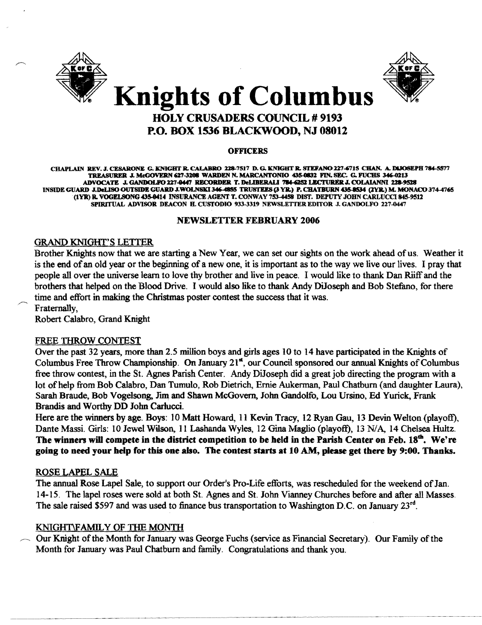



# Knights of Columbus HOLY CRUSADERS COUNCIL # 9193 P.O. BOX 1536 BLACKWOOD, NJ 08012

#### **OFFICERS**

CHAPLAIN REV. J. CESARONE G. KNIGHTR. CALABRO 228-7517 D. G. KNIGHTR. STEFANO 227-6715 CHAN. A. DIJOSEPH 784-5577 TREASURER J. McGOVERN 627-3208 WARDEN N. MARCANTONIO 435-0832 FIN. SEC. G. FUCHS 346-0213 ADVOCATE J. GANDOLFO 227-0447 RECORDER T. DeLIBERALI '784-6252 LECTURER J. COLAIANNI 228-9528 INSIDE GUARD J.DeLISO OUTSIDE GUARD J.WOLNSKI 346-4855 TRUSTEES (3 YR.) P. CHATBURN 435-8S34 (2YR.) M. MONACO 374-4765 (IYR) R. VOGELSONG 435-0414 INSURANCE AGENT T. CONWAY 753-4458 DIST. DEPUTY JOHN CARLUCCI 845-9512 SPIRITUAL ADVISOR DEACON B.CUSTODIO 933-3319 NEWSLETTER EDITOR J.GANDOLFO 227-0447

## NEWSLETTER FEBRUARY 2006

## GRAND KNIGHT'S LETTER

Brother Knights now that we are starting a New Year, we can set our sights on the work ahead of us. Weather it is the end of an old year or the beginning of a new one, it is important as to the way we live our lives. I pray that people all over the universe learn to love thy brother and live in peace. I would like to thank Dan Riiff and the brothers that helped on the Blood Drive. I would also like to thank Andy DiJoseph and Bob Stefano, for there time and effort in making the Christmas poster contest the success that it was. Fraternally,

Robert Calabro, Grand Knight

## FREE THROW CONTEST

Over the past 32 years, more than 2.5 million boys and girls ages 10 to 14 have participated in the Knights of Columbus Free Throw Championship. On January 21<sup>st</sup>, our Council sponsored our annual Knights of Columbus free throw contest, in the St. Agnes Parish Center. Andy DiJoseph did a great job directing the program with a lot of help from Bob Calabro, Dan Tumulo, Rob Dietrich, Ernie Aukerman, Paul Chatburn (and daughter Laura), Sarah Braude, Bob Vogelsong, Jim and Shawn McGovern, John Gandolfo, Lou Ursino, Ed Yurick, Frank Brandis and Worthy DD John Carlucci.

Here are the winners by age. Boys: 10 Matt Howard, 11 Kevin Tracy, 12 Ryan Gau, 13 Devin Welton (playoff), Dante Massi. Girls: 10 Jewel Wilson, 11 Lashanda Wyles, 12 Gina Maglio (playoff), 13 N/A, 14 Chelsea Hultz. The winners will compete in the district competition to be held in the Parish Center on Feb.  $18<sup>th</sup>$ . We're going to need your help for this one also. The contest starts at 10 AM, please get there by 9:00. Thanks.

## ROSE LAPEL SALE

The annual Rose Lapel Sale, to support our Order's Pro-Life efforts, was rescheduled for the weekend of Jan. 14-15. The lapel roses were sold at both St. Agnes and St. John Vianney Churches before and after all Masses. The sale raised \$597 and was used to finance bus transportation to Washington D.C. on January  $23^{rd}$ .

## KNIGHT\FAM1L Y OF THE MONTH

Our Knight of the Month for January was George Fuchs (service as Financial Secretary). Our Family of the Month for January was Paul Chatbum and family. Congratulations and thank you.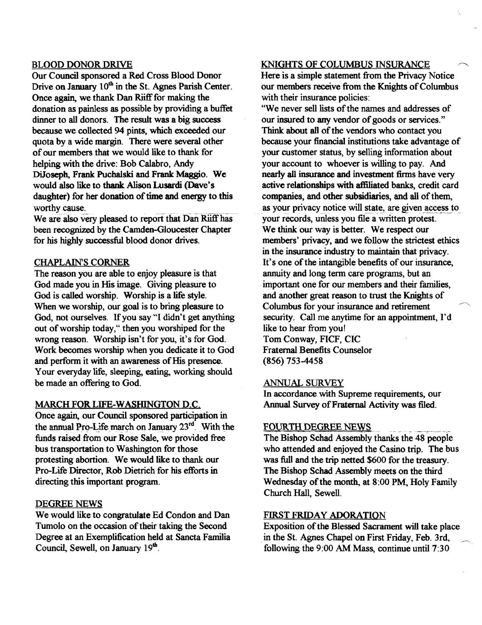## BLOOD DONOR DRIVE

Our Council sponsored a Red Cross Blood Donor Drive on January 10<sup>th</sup> in the St. Agnes Parish Center. Once again, we thank Dan Riiff for making the donation as painless as possible by providing a buffet dinner to all donors. The result was a big success because we collected 94 pints, which exceeded our quota by a wide margin. There were several other of our members that we would like to thank for. helping with the drive: Bob Calabro. Andy DiJoseph, Frank Puchalski and Frank Maggio. We would also like to thank Alison Lusardi (Dave's daughter) for her donation of time and energy to this worthy cause.

We are also very pleased to report that Dan Rijff has been recognized by the Camden-Gloucester Chapter for his highly successful blood donor drives.

## CHAPLAIN'S CORNER

The reason you are able to enjoy pleasure is that God made you in His image. Giving pleasure to God is called worship. Worship is a life style. When we worship, our goal is to bring pleasure to God, not ourselves. If you say "I didn't get anything out of worship today," then you worshiped for the wrong reason. Worship isn't for you, it's for God. Work becomes worship when you dedicate it to God and perform it with an awareness of His presence. Your everyday life, sleeping, eating, working should be made an offering to God.

#### MARCH FOR LIFE-WASHINGTON D.C.

Once again, our Council sponsored participation in the annual Pro-Life march on January  $23<sup>rd</sup>$ . With the funds raised from our Rose Sale, we provided free bus transportation to Washington for those protesting abortion. We would like to thank our Pro-Life Director, Rob Dietrich for his efforts in directing this important program.

## DEGREE NEWS

We would like to congratulate Ed Condon and Dan Tumolo on the occasion of their taking the Second Degree at an Exemplification held at Sancta Familia Council, Sewell, on January 19<sup>th</sup>.

#### KNIGHTS OF COLUMBUS INSURANCE

Here is a simple statement from the Privacy Notice our members receive from the Knights of Columbus with their insurance policies:

"We never sell lists of the names and addresses of our insured to any vendor of goods or services." Think about all of the vendors who contact you because your financial institutions take advantage of your customer status, by selling information about your account to whoever is willing to pay. And nearly all insurance and investment firms have very active relationships with affiliated banks, credit card companies, and other subsidiaries, and all of them, as your privacy notice will state, are given access to your records, unless you file a written protest. We think our way is better. We respect our members' privacy, and we follow the strictest ethics in the insurance industry to maintain that privacy. It's one of the intangible benefits of our insurance, annuity and long term care programs, but an important one for our members and their families, and another great reason to trust the Knights of Columbus for your insurance and retirement security. Call me anytime for an appointment, I'd. like to hear from you! Tom Conway, FICF, CIC Fraternal Benefits Counselor (856) 753-4458

#### ANNUAL SURVEY

In accordance with Supreme requirements, our Annual Survey of Fraternal Activity was filed.

#### FOURTH DEGREE NEWS

The Bishop Schad Assembly thanks the 48 people who attended and enjoyed the Casino trip. The bus was full and the trip netted \$600 for the treasury. The Bishop Schad Assembly meets on the third Wednesday of the month, at 8:00 PM, Holy Family Church Hall, Sewell.

#### FIRST FRIDAY ADORATION

Exposition of the Blessed Sacrament will take place . in the St. Agnes Chapel on First Friday, Feb. 3rd, following the 9:00 AM Mass, continue until 7:30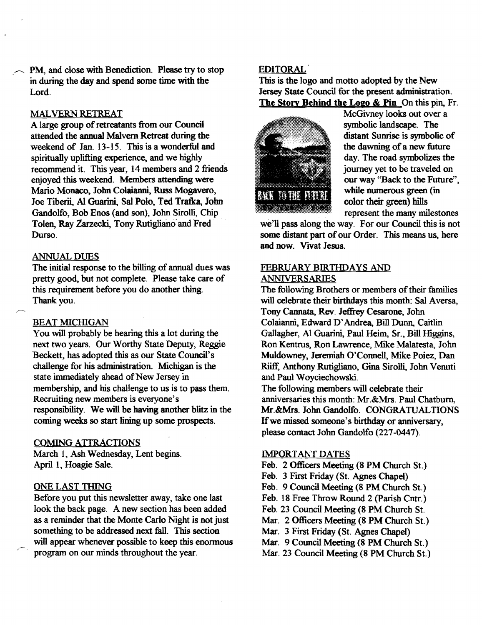PM, and close with Benediction. Please try to stop in during the day and spend some time with the Lord.

#### MALVERN RETREAT

A large group of retreatants from our Council attended the annual Malvern Retreat during the weekend of Jan. 13-15. This is a wonderful and spiritually uplifting experience, and we highly recommend it. This year, 14 members and 2 friends enjoyed this weekend. Members attending were Mario Monaco, John Colaianni, Russ Mogavero, Joe Tiberii, AI Guarini, Sal Polo, Ted Tratka, 10bn Gandolfo, Bob Enos (and son), John Sirolli, Chip Tolen, Ray Zarzecki, Tony Rutigliano' and Fred Durso.

#### ANNUAL DUES

The initial response to the billing of annual dues was pretty good, but not complete. Please take care of this requirement before you do another thing. Thank you.

#### **BEAT MICHIGAN**

You will probably be hearing this a lot during the next two years. Our Worthy State Deputy, Reggie Beckett, has adopted this as our State Council's challenge for his administration. Michigan is the state immediately ahead of New Jersey in membership, and his challenge to us is to pass them. Recruiting new members is everyone's responsibility. We will be having another blitz in the coming weeks so start lining up some prospects.

#### COMING ATTRACTIONS

March 1, Ash Wednesday, Lent begins. April 1, Hoagie Sale.

## ONE LAST THING

Before you put this newsletter away, take one last look the back page. A new section has been added as a reminder that the Monte Carlo Night is not just something to be addressed next fall. This section will appear whenever possible to keep this enormous program on our minds throughout the year.

## EDITORAL

This is the logo and motto adopted by the New Jersey State Council for the present administration. The Story Behind the Logo & Pin On this pin, Fr.



McGivney looks out over a symbolic landscape. The distant Sunrise is symbolic of the dawning of a new future day. The road symbolizes the journey yet to be traveled on our way "Back to the Future", while numerous green (in color their green) hills represent the many milestones

we'll pass along the way. For our Council this is not some distant part of our Order. This means us, here and now. Vivat Jesus.

#### FEBRUARY BIRTHDAYS AND ANNIVERSARIES

The following Brothers or members of their families will celebrate their birthdays this month: Sal Aversa, Tony Cannata, Rev. Jeffrey Cesarone, John Colaianni, Edward D~ Andrea, Bill Dunn, Caitlin Gallagher, AI Guarini, Paul Heim, Sr., Bill Higgins, Ron Kentrus, Ron Lawrence, Mike Malatesta, John Muldowney, Jeremiah O'Connell, Mike Poiez, Dan Riiff, Anthony Rutigliano, Gina Sirolli, John Venuti and Paul Woyciechowski.

The following members will celebrate their anniversaries this month: Mr.&Mrs. Paul Chatbum, Mr.&Mrs. John Gandolfo. CONGRATUALTIONS If we missed someone's birthday or anniversary, please contact John Gandolfo (227-0447).

#### IMPORTANT DATES

- Feb. 2 Officers Meeting (8 PM Church St.)
- Feb. 3 First Friday (St. Agnes Chapel)
- Feb. 9 Council Meeting (8 PM Church St.)
- Feb. 18 Free Throw Round 2 (Parish Cntr.)
- Feb. 23 Council Meeting (8 PM Church St.
- Mar. 2 Officers Meeting (8 PM Church St.)
- Mar. 3 First Friday (St. Agnes Chapel)
- Mar. 9 Council Meeting (8 PM Church St.)
- Mar, 23 Council Meeting (8 PM Church St.)